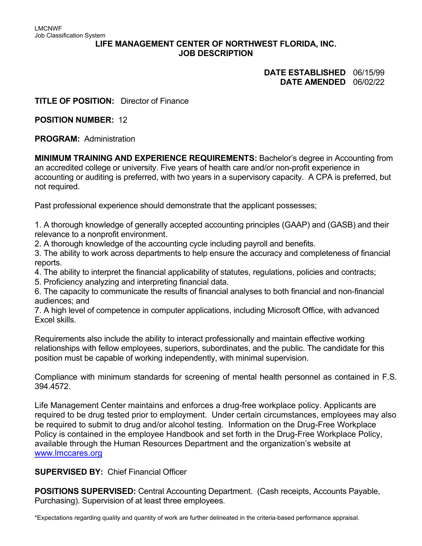#### **LIFE MANAGEMENT CENTER OF NORTHWEST FLORIDA, INC. JOB DESCRIPTION**

# **DATE ESTABLISHED** 06/15/99 **DATE AMENDED** 06/02/22

**TITLE OF POSITION:** Director of Finance

**POSITION NUMBER:** 12

**PROGRAM:** Administration

**MINIMUM TRAINING AND EXPERIENCE REQUIREMENTS:** Bachelor's degree in Accounting from an accredited college or university. Five years of health care and/or non-profit experience in accounting or auditing is preferred, with two years in a supervisory capacity. A CPA is preferred, but not required.

Past professional experience should demonstrate that the applicant possesses;

1. A thorough knowledge of generally accepted accounting principles (GAAP) and (GASB) and their relevance to a nonprofit environment.

2. A thorough knowledge of the accounting cycle including payroll and benefits.

3. The ability to work across departments to help ensure the accuracy and completeness of financial reports.

4. The ability to interpret the financial applicability of statutes, regulations, policies and contracts;

5. Proficiency analyzing and interpreting financial data.

6. The capacity to communicate the results of financial analyses to both financial and non-financial audiences; and

7. A high level of competence in computer applications, including Microsoft Office, with advanced Excel skills.

Requirements also include the ability to interact professionally and maintain effective working relationships with fellow employees, superiors, subordinates, and the public. The candidate for this position must be capable of working independently, with minimal supervision.

Compliance with minimum standards for screening of mental health personnel as contained in F.S. 394.4572.

Life Management Center maintains and enforces a drug-free workplace policy. Applicants are required to be drug tested prior to employment. Under certain circumstances, employees may also be required to submit to drug and/or alcohol testing. Information on the Drug-Free Workplace Policy is contained in the employee Handbook and set forth in the Drug-Free Workplace Policy, available through the Human Resources Department and the organization's website at [www.lmccares.org](http://www.lmccares.org/)

**SUPERVISED BY:** Chief Financial Officer

**POSITIONS SUPERVISED:** Central Accounting Department. (Cash receipts, Accounts Payable, Purchasing). Supervision of at least three employees.

\*Expectations regarding quality and quantity of work are further delineated in the criteria-based performance appraisal.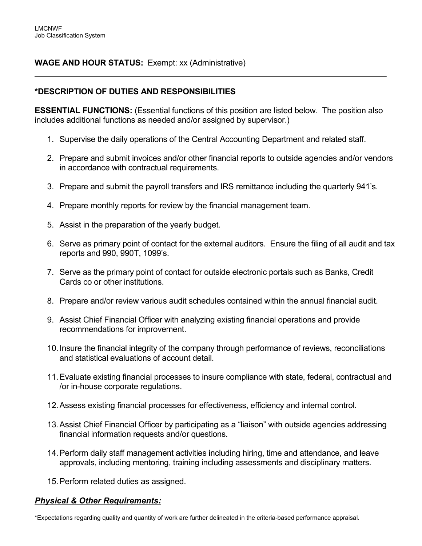# **WAGE AND HOUR STATUS:** Exempt: xx (Administrative)

### **\*DESCRIPTION OF DUTIES AND RESPONSIBILITIES**

**ESSENTIAL FUNCTIONS:** (Essential functions of this position are listed below. The position also includes additional functions as needed and/or assigned by supervisor.)

- 1. Supervise the daily operations of the Central Accounting Department and related staff.
- 2. Prepare and submit invoices and/or other financial reports to outside agencies and/or vendors in accordance with contractual requirements.

 $\overline{a}$ 

- 3. Prepare and submit the payroll transfers and IRS remittance including the quarterly 941's.
- 4. Prepare monthly reports for review by the financial management team.
- 5. Assist in the preparation of the yearly budget.
- 6. Serve as primary point of contact for the external auditors. Ensure the filing of all audit and tax reports and 990, 990T, 1099's.
- 7. Serve as the primary point of contact for outside electronic portals such as Banks, Credit Cards co or other institutions.
- 8. Prepare and/or review various audit schedules contained within the annual financial audit.
- 9. Assist Chief Financial Officer with analyzing existing financial operations and provide recommendations for improvement.
- 10.Insure the financial integrity of the company through performance of reviews, reconciliations and statistical evaluations of account detail.
- 11.Evaluate existing financial processes to insure compliance with state, federal, contractual and /or in-house corporate regulations.
- 12.Assess existing financial processes for effectiveness, efficiency and internal control.
- 13.Assist Chief Financial Officer by participating as a "liaison" with outside agencies addressing financial information requests and/or questions.
- 14.Perform daily staff management activities including hiring, time and attendance, and leave approvals, including mentoring, training including assessments and disciplinary matters.
- 15.Perform related duties as assigned.

### *Physical & Other Requirements:*

\*Expectations regarding quality and quantity of work are further delineated in the criteria-based performance appraisal.